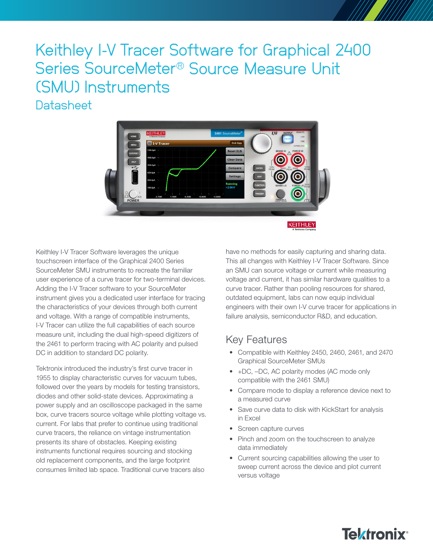# Keithley I-V Tracer Software for Graphical 2400 Series SourceMeter® Source Measure Unit (SMU) Instruments **Datasheet**



Keithley I-V Tracer Software leverages the unique touchscreen interface of the Graphical 2400 Series SourceMeter SMU instruments to recreate the familiar user experience of a curve tracer for two-terminal devices. Adding the I-V Tracer software to your SourceMeter instrument gives you a dedicated user interface for tracing the characteristics of your devices through both current and voltage. With a range of compatible instruments, I-V Tracer can utilize the full capabilities of each source measure unit, including the dual high-speed digitizers of the 2461 to perform tracing with AC polarity and pulsed DC in addition to standard DC polarity.

Tektronix introduced the industry's first curve tracer in 1955 to display characteristic curves for vacuum tubes, followed over the years by models for testing transistors, diodes and other solid-state devices. Approximating a power supply and an oscilloscope packaged in the same box, curve tracers source voltage while plotting voltage vs. current. For labs that prefer to continue using traditional curve tracers, the reliance on vintage instrumentation presents its share of obstacles. Keeping existing instruments functional requires sourcing and stocking old replacement components, and the large footprint consumes limited lab space. Traditional curve tracers also

have no methods for easily capturing and sharing data. This all changes with Keithley I-V Tracer Software. Since an SMU can source voltage or current while measuring voltage and current, it has similar hardware qualities to a curve tracer. Rather than pooling resources for shared, outdated equipment, labs can now equip individual engineers with their own I-V curve tracer for applications in failure analysis, semiconductor R&D, and education.

#### Key Features

- Compatible with Keithley 2450, 2460, 2461, and 2470 Graphical SourceMeter SMUs
- +DC, –DC, AC polarity modes (AC mode only compatible with the 2461 SMU)
- Compare mode to display a reference device next to a measured curve
- Save curve data to disk with KickStart for analysis in Excel
- Screen capture curves
- Pinch and zoom on the touchscreen to analyze data immediately
- Current sourcing capabilities allowing the user to sweep current across the device and plot current versus voltage

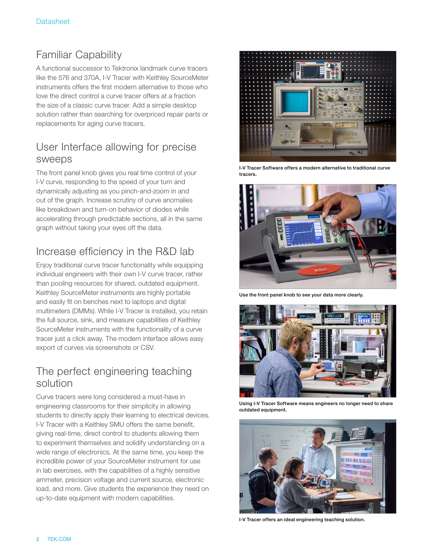#### Familiar Capability

A functional successor to Tektronix landmark curve tracers like the 576 and 370A, I-V Tracer with Keithley SourceMeter instruments offers the first modern alternative to those who love the direct control a curve tracer offers at a fraction the size of a classic curve tracer. Add a simple desktop solution rather than searching for overpriced repair parts or replacements for aging curve tracers.

#### User Interface allowing for precise sweeps

The front panel knob gives you real time control of your I-V curve, responding to the speed of your turn and dynamically adjusting as you pinch-and-zoom in and out of the graph. Increase scrutiny of curve anomalies like breakdown and turn-on behavior of diodes while accelerating through predictable sections, all in the same graph without taking your eyes off the data.

### Increase efficiency in the R&D lab

Enjoy traditional curve tracer functionality while equipping individual engineers with their own I-V curve tracer, rather than pooling resources for shared, outdated equipment. Keithley SourceMeter instruments are highly portable and easily fit on benches next to laptops and digital multimeters (DMMs). While I-V Tracer is installed, you retain the full source, sink, and measure capabilities of Keithley SourceMeter instruments with the functionality of a curve tracer just a click away. The modern interface allows easy export of curves via screenshots or CSV.

#### The perfect engineering teaching solution

Curve tracers were long considered a must-have in engineering classrooms for their simplicity in allowing students to directly apply their learning to electrical devices. I-V Tracer with a Keithley SMU offers the same benefit, giving real-time, direct control to students allowing them to experiment themselves and solidify understanding on a wide range of electronics. At the same time, you keep the incredible power of your SourceMeter instrument for use in lab exercises, with the capabilities of a highly sensitive ammeter, precision voltage and current source, electronic load, and more. Give students the experience they need on up-to-date equipment with modern capabilities.



I-V Tracer Software offers a modern alternative to traditional curve tracers



Use the front panel knob to see your data more clearly.



Using I-V Tracer Software means engineers no longer need to share outdated equipment.



I-V Tracer offers an ideal engineering teaching solution.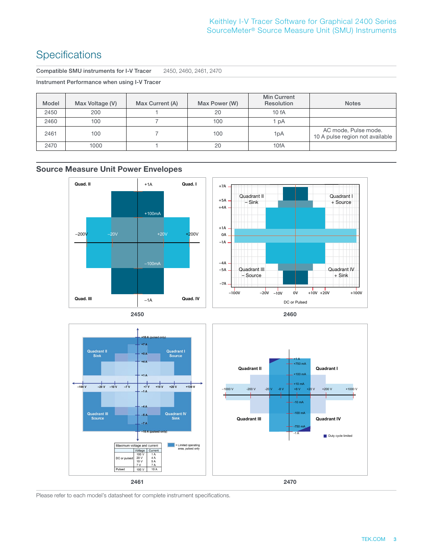#### **Specifications**

Compatible SMU instruments for I-V Tracer 2450, 2460, 2461, 2470

Instrument Performance when using I-V Tracer

| Model | Max Voltage (V) | Max Current (A) | Max Power (W) | <b>Min Current</b><br>Resolution | <b>Notes</b>                                            |
|-------|-----------------|-----------------|---------------|----------------------------------|---------------------------------------------------------|
| 2450  | 200             |                 | 20            | 10fA                             |                                                         |
| 2460  | 100             |                 | 100           | pA                               |                                                         |
| 2461  | 100             |                 | 100           | 1pA                              | AC mode, Pulse mode.<br>10 A pulse region not available |
| 2470  | 1000            |                 | 20            | 10fA                             |                                                         |

**Source Measure Unit Power Envelopes**



Please refer to each model's datasheet for complete instrument specifications.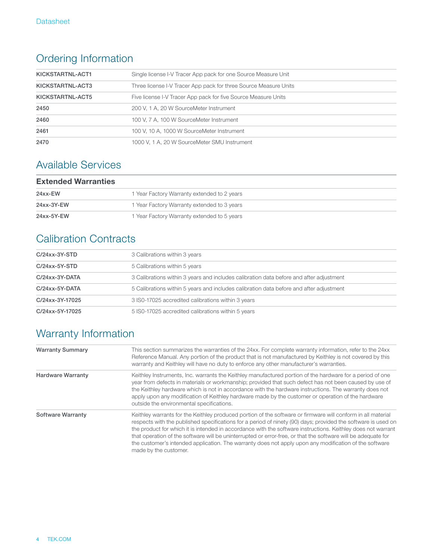## Ordering Information

| KICKSTARTNL-ACT1 | Single license I-V Tracer App pack for one Source Measure Unit   |
|------------------|------------------------------------------------------------------|
| KICKSTARTNL-ACT3 | Three license I-V Tracer App pack for three Source Measure Units |
| KICKSTARTNL-ACT5 | Five license I-V Tracer App pack for five Source Measure Units   |
| 2450             | 200 V, 1 A, 20 W SourceMeter Instrument                          |
| 2460             | 100 V, 7 A, 100 W SourceMeter Instrument                         |
| 2461             | 100 V, 10 A, 1000 W SourceMeter Instrument                       |
| 2470             | 1000 V, 1 A, 20 W SourceMeter SMU Instrument                     |

#### Available Services

| <b>Extended Warranties</b> |                                             |  |
|----------------------------|---------------------------------------------|--|
| 24xx-EW                    | 1 Year Factory Warranty extended to 2 years |  |
| 24xx-3Y-EW                 | 1 Year Factory Warranty extended to 3 years |  |
| 24xx-5Y-EW                 | 1 Year Factory Warranty extended to 5 years |  |

### Calibration Contracts

| $C/24xx-3Y-STD$ | 3 Calibrations within 3 years                                                           |  |
|-----------------|-----------------------------------------------------------------------------------------|--|
| $C/24xx-5Y-STD$ | 5 Calibrations within 5 years                                                           |  |
| C/24xx-3Y-DATA  | 3 Calibrations within 3 years and includes calibration data before and after adjustment |  |
| C/24xx-5Y-DATA  | 5 Calibrations within 5 years and includes calibration data before and after adjustment |  |
| C/24xx-3Y-17025 | 3 ISO-17025 accredited calibrations within 3 years                                      |  |
| C/24xx-5Y-17025 | 5 ISO-17025 accredited calibrations within 5 years                                      |  |

# Warranty Information

| <b>Warranty Summary</b>  | This section summarizes the warranties of the 24xx. For complete warranty information, refer to the 24xx<br>Reference Manual. Any portion of the product that is not manufactured by Keithley is not covered by this<br>warranty and Keithley will have no duty to enforce any other manufacturer's warranties.                                                                                                                                                                                                                                                                                   |
|--------------------------|---------------------------------------------------------------------------------------------------------------------------------------------------------------------------------------------------------------------------------------------------------------------------------------------------------------------------------------------------------------------------------------------------------------------------------------------------------------------------------------------------------------------------------------------------------------------------------------------------|
| <b>Hardware Warranty</b> | Keithley Instruments, Inc. warrants the Keithley manufactured portion of the hardware for a period of one<br>year from defects in materials or workmanship; provided that such defect has not been caused by use of<br>the Keithley hardware which is not in accordance with the hardware instructions. The warranty does not<br>apply upon any modification of Keithley hardware made by the customer or operation of the hardware<br>outside the environmental specifications.                                                                                                                  |
| <b>Software Warranty</b> | Keithley warrants for the Keithley produced portion of the software or firmware will conform in all material<br>respects with the published specifications for a period of ninety (90) days; provided the software is used on<br>the product for which it is intended in accordance with the software instructions. Keithley does not warrant<br>that operation of the software will be uninterrupted or error-free, or that the software will be adequate for<br>the customer's intended application. The warranty does not apply upon any modification of the software<br>made by the customer. |